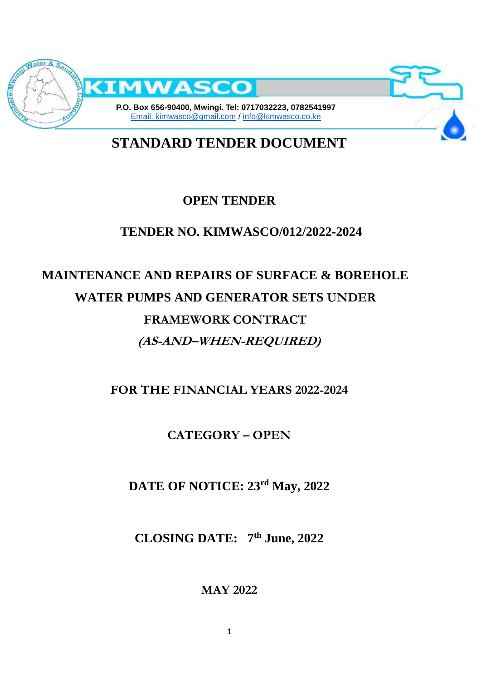

**STANDARD TENDER DOCUMENT**

# **OPEN TENDER**

# **TENDER NO. KIMWASCO/012/2022-2024**

# **MAINTENANCE AND REPAIRS OF SURFACE & BOREHOLE WATER PUMPS AND GENERATOR SETS UNDER FRAMEWORK CONTRACT (AS-AND–WHEN-REQUIRED)**

**FOR THE FINANCIAL YEARS 2022-2024**

**CATEGORY – OPEN**

**DATE OF NOTICE: 23rd May, 2022**

**CLOSING DATE: 7th June, 2022**

**MAY 2022**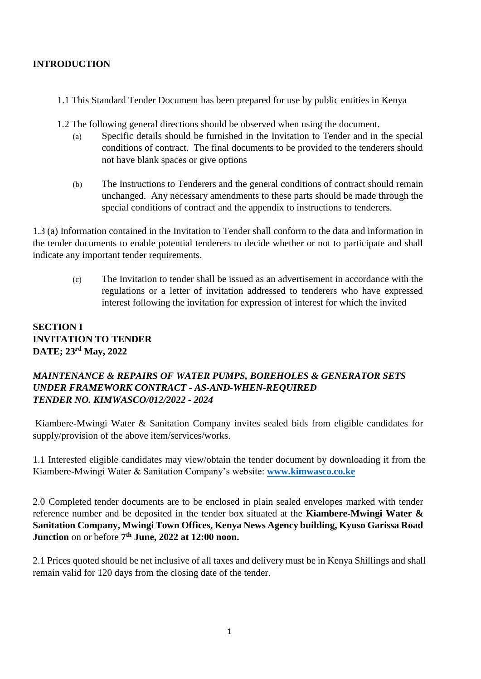#### **INTRODUCTION**

- 1.1 This Standard Tender Document has been prepared for use by public entities in Kenya
- 1.2 The following general directions should be observed when using the document.
	- (a) Specific details should be furnished in the Invitation to Tender and in the special conditions of contract. The final documents to be provided to the tenderers should not have blank spaces or give options
	- (b) The Instructions to Tenderers and the general conditions of contract should remain unchanged. Any necessary amendments to these parts should be made through the special conditions of contract and the appendix to instructions to tenderers.

1.3 (a) Information contained in the Invitation to Tender shall conform to the data and information in the tender documents to enable potential tenderers to decide whether or not to participate and shall indicate any important tender requirements.

> (c) The Invitation to tender shall be issued as an advertisement in accordance with the regulations or a letter of invitation addressed to tenderers who have expressed interest following the invitation for expression of interest for which the invited

## **SECTION I INVITATION TO TENDER DATE; 23rd May, 2022**

#### *MAINTENANCE & REPAIRS OF WATER PUMPS, BOREHOLES & GENERATOR SETS UNDER FRAMEWORK CONTRACT - AS-AND-WHEN-REQUIRED TENDER NO. KIMWASCO/012/2022 - 2024*

Kiambere-Mwingi Water & Sanitation Company invites sealed bids from eligible candidates for supply/provision of the above item/services/works.

1.1 Interested eligible candidates may view/obtain the tender document by downloading it from the Kiambere-Mwingi Water & Sanitation Company's website: **[www.kimwasco.co.ke](http://www.kimwasco.co.ke/)**

2.0 Completed tender documents are to be enclosed in plain sealed envelopes marked with tender reference number and be deposited in the tender box situated at the **Kiambere-Mwingi Water & Sanitation Company, Mwingi Town Offices, Kenya News Agency building, Kyuso Garissa Road Junction** on or before **7 th June, 2022 at 12:00 noon.** 

2.1 Prices quoted should be net inclusive of all taxes and delivery must be in Kenya Shillings and shall remain valid for 120 days from the closing date of the tender.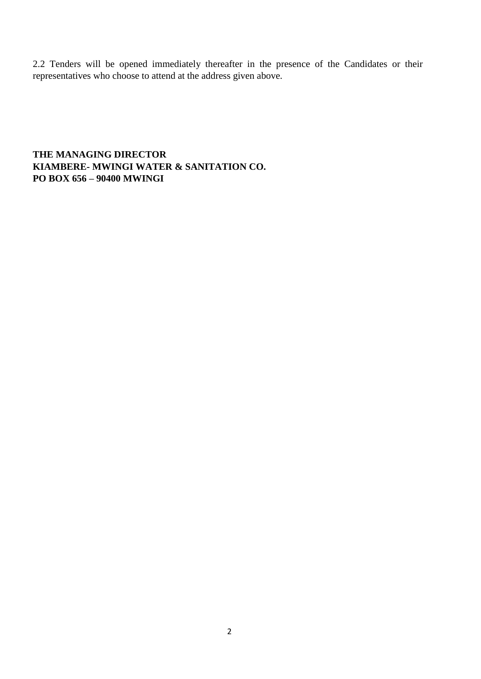2.2 Tenders will be opened immediately thereafter in the presence of the Candidates or their representatives who choose to attend at the address given above.

**THE MANAGING DIRECTOR KIAMBERE- MWINGI WATER & SANITATION CO. PO BOX 656 – 90400 MWINGI**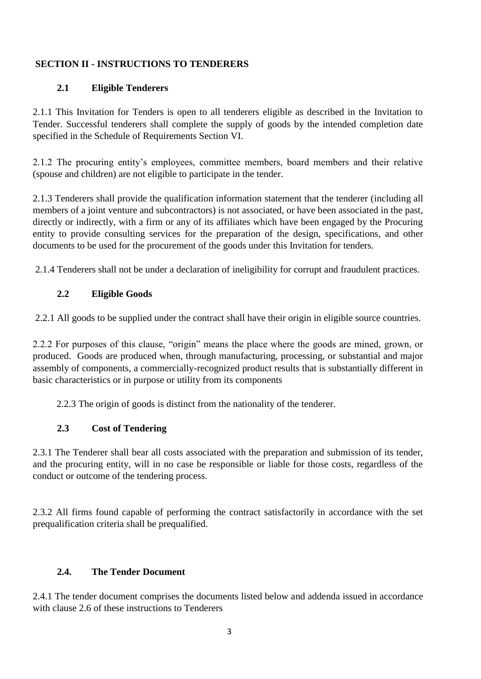#### **SECTION II - INSTRUCTIONS TO TENDERERS**

#### **2.1 Eligible Tenderers**

2.1.1 This Invitation for Tenders is open to all tenderers eligible as described in the Invitation to Tender. Successful tenderers shall complete the supply of goods by the intended completion date specified in the Schedule of Requirements Section VI.

2.1.2 The procuring entity's employees, committee members, board members and their relative (spouse and children) are not eligible to participate in the tender.

2.1.3 Tenderers shall provide the qualification information statement that the tenderer (including all members of a joint venture and subcontractors) is not associated, or have been associated in the past, directly or indirectly, with a firm or any of its affiliates which have been engaged by the Procuring entity to provide consulting services for the preparation of the design, specifications, and other documents to be used for the procurement of the goods under this Invitation for tenders.

2.1.4 Tenderers shall not be under a declaration of ineligibility for corrupt and fraudulent practices.

#### **2.2 Eligible Goods**

2.2.1 All goods to be supplied under the contract shall have their origin in eligible source countries.

2.2.2 For purposes of this clause, "origin" means the place where the goods are mined, grown, or produced. Goods are produced when, through manufacturing, processing, or substantial and major assembly of components, a commercially-recognized product results that is substantially different in basic characteristics or in purpose or utility from its components

2.2.3 The origin of goods is distinct from the nationality of the tenderer.

#### **2.3 Cost of Tendering**

2.3.1 The Tenderer shall bear all costs associated with the preparation and submission of its tender, and the procuring entity, will in no case be responsible or liable for those costs, regardless of the conduct or outcome of the tendering process.

2.3.2 All firms found capable of performing the contract satisfactorily in accordance with the set prequalification criteria shall be prequalified.

#### **2.4. The Tender Document**

2.4.1 The tender document comprises the documents listed below and addenda issued in accordance with clause 2.6 of these instructions to Tenderers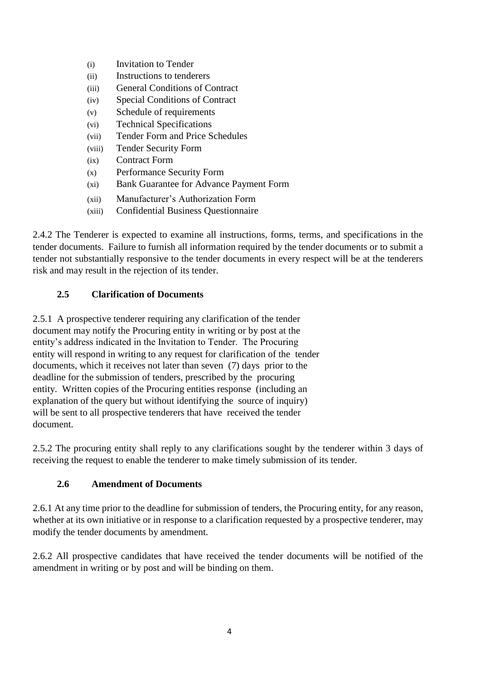- (i) Invitation to Tender (ii) Instructions to tenderers (iii) General Conditions of Contract (iv) Special Conditions of Contract (v) Schedule of requirements (vi) Technical Specifications (vii) Tender Form and Price Schedules (viii) Tender Security Form (ix) Contract Form (x) Performance Security Form (xi) Bank Guarantee for Advance Payment Form
- (xii) Manufacturer's Authorization Form
- (xiii) Confidential Business Questionnaire

2.4.2 The Tenderer is expected to examine all instructions, forms, terms, and specifications in the tender documents. Failure to furnish all information required by the tender documents or to submit a tender not substantially responsive to the tender documents in every respect will be at the tenderers risk and may result in the rejection of its tender.

#### **2.5 Clarification of Documents**

2.5.1 A prospective tenderer requiring any clarification of the tender document may notify the Procuring entity in writing or by post at the entity's address indicated in the Invitation to Tender. The Procuring entity will respond in writing to any request for clarification of the tender documents, which it receives not later than seven (7) days prior to the deadline for the submission of tenders, prescribed by the procuring entity. Written copies of the Procuring entities response (including an explanation of the query but without identifying the source of inquiry) will be sent to all prospective tenderers that have received the tender document.

2.5.2 The procuring entity shall reply to any clarifications sought by the tenderer within 3 days of receiving the request to enable the tenderer to make timely submission of its tender.

#### **2.6 Amendment of Documents**

2.6.1 At any time prior to the deadline for submission of tenders, the Procuring entity, for any reason, whether at its own initiative or in response to a clarification requested by a prospective tenderer, may modify the tender documents by amendment.

2.6.2 All prospective candidates that have received the tender documents will be notified of the amendment in writing or by post and will be binding on them.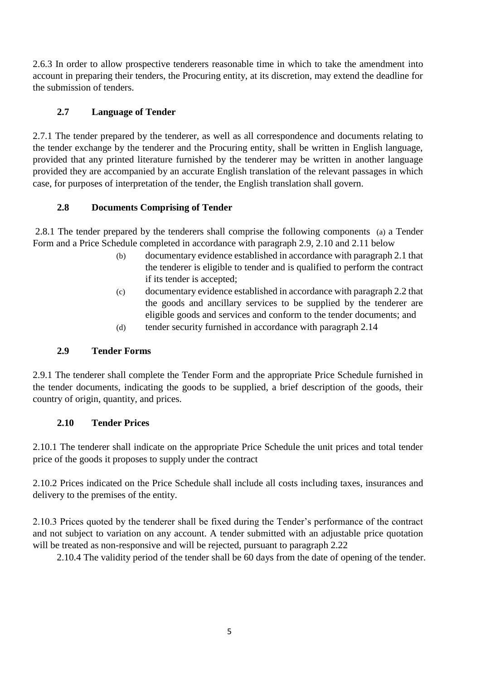2.6.3 In order to allow prospective tenderers reasonable time in which to take the amendment into account in preparing their tenders, the Procuring entity, at its discretion, may extend the deadline for the submission of tenders.

## **2.7 Language of Tender**

2.7.1 The tender prepared by the tenderer, as well as all correspondence and documents relating to the tender exchange by the tenderer and the Procuring entity, shall be written in English language, provided that any printed literature furnished by the tenderer may be written in another language provided they are accompanied by an accurate English translation of the relevant passages in which case, for purposes of interpretation of the tender, the English translation shall govern.

## **2.8 Documents Comprising of Tender**

2.8.1 The tender prepared by the tenderers shall comprise the following components (a) a Tender Form and a Price Schedule completed in accordance with paragraph 2.9, 2.10 and 2.11 below

- (b) documentary evidence established in accordance with paragraph 2.1 that the tenderer is eligible to tender and is qualified to perform the contract if its tender is accepted;
- (c) documentary evidence established in accordance with paragraph 2.2 that the goods and ancillary services to be supplied by the tenderer are eligible goods and services and conform to the tender documents; and
- (d) tender security furnished in accordance with paragraph 2.14

## **2.9 Tender Forms**

2.9.1 The tenderer shall complete the Tender Form and the appropriate Price Schedule furnished in the tender documents, indicating the goods to be supplied, a brief description of the goods, their country of origin, quantity, and prices.

## **2.10 Tender Prices**

2.10.1 The tenderer shall indicate on the appropriate Price Schedule the unit prices and total tender price of the goods it proposes to supply under the contract

2.10.2 Prices indicated on the Price Schedule shall include all costs including taxes, insurances and delivery to the premises of the entity.

2.10.3 Prices quoted by the tenderer shall be fixed during the Tender's performance of the contract and not subject to variation on any account. A tender submitted with an adjustable price quotation will be treated as non-responsive and will be rejected, pursuant to paragraph 2.22

2.10.4 The validity period of the tender shall be 60 days from the date of opening of the tender.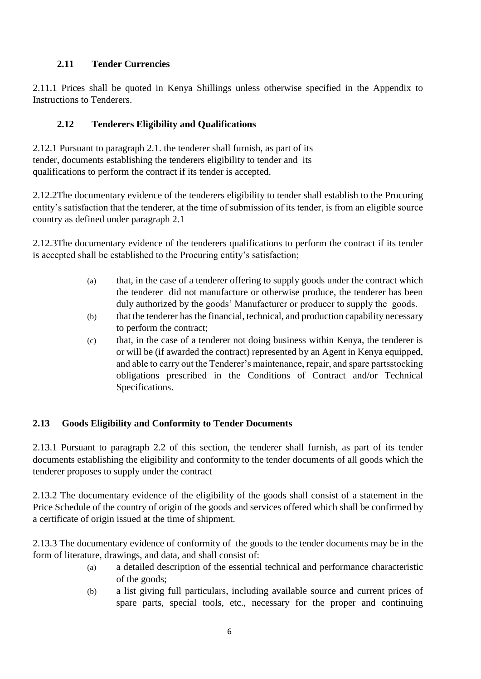## **2.11 Tender Currencies**

2.11.1 Prices shall be quoted in Kenya Shillings unless otherwise specified in the Appendix to Instructions to Tenderers.

#### **2.12 Tenderers Eligibility and Qualifications**

2.12.1 Pursuant to paragraph 2.1. the tenderer shall furnish, as part of its tender, documents establishing the tenderers eligibility to tender and its qualifications to perform the contract if its tender is accepted.

2.12.2The documentary evidence of the tenderers eligibility to tender shall establish to the Procuring entity's satisfaction that the tenderer, at the time of submission of its tender, is from an eligible source country as defined under paragraph 2.1

2.12.3The documentary evidence of the tenderers qualifications to perform the contract if its tender is accepted shall be established to the Procuring entity's satisfaction;

- (a) that, in the case of a tenderer offering to supply goods under the contract which the tenderer did not manufacture or otherwise produce, the tenderer has been duly authorized by the goods' Manufacturer or producer to supply the goods.
- (b) that the tenderer has the financial, technical, and production capability necessary to perform the contract;
- (c) that, in the case of a tenderer not doing business within Kenya, the tenderer is or will be (if awarded the contract) represented by an Agent in Kenya equipped, and able to carry out the Tenderer's maintenance, repair, and spare partsstocking obligations prescribed in the Conditions of Contract and/or Technical Specifications.

## **2.13 Goods Eligibility and Conformity to Tender Documents**

2.13.1 Pursuant to paragraph 2.2 of this section, the tenderer shall furnish, as part of its tender documents establishing the eligibility and conformity to the tender documents of all goods which the tenderer proposes to supply under the contract

2.13.2 The documentary evidence of the eligibility of the goods shall consist of a statement in the Price Schedule of the country of origin of the goods and services offered which shall be confirmed by a certificate of origin issued at the time of shipment.

2.13.3 The documentary evidence of conformity of the goods to the tender documents may be in the form of literature, drawings, and data, and shall consist of:

- (a) a detailed description of the essential technical and performance characteristic of the goods;
- (b) a list giving full particulars, including available source and current prices of spare parts, special tools, etc., necessary for the proper and continuing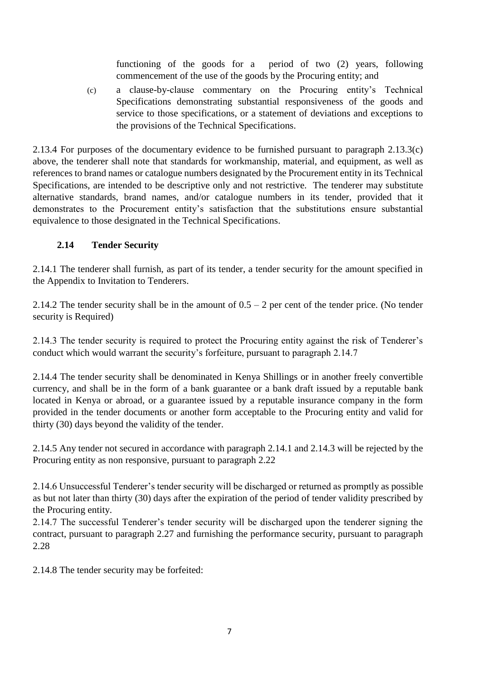functioning of the goods for a period of two (2) years, following commencement of the use of the goods by the Procuring entity; and

(c) a clause-by-clause commentary on the Procuring entity's Technical Specifications demonstrating substantial responsiveness of the goods and service to those specifications, or a statement of deviations and exceptions to the provisions of the Technical Specifications.

2.13.4 For purposes of the documentary evidence to be furnished pursuant to paragraph 2.13.3(c) above, the tenderer shall note that standards for workmanship, material, and equipment, as well as references to brand names or catalogue numbers designated by the Procurement entity in its Technical Specifications, are intended to be descriptive only and not restrictive. The tenderer may substitute alternative standards, brand names, and/or catalogue numbers in its tender, provided that it demonstrates to the Procurement entity's satisfaction that the substitutions ensure substantial equivalence to those designated in the Technical Specifications.

#### **2.14 Tender Security**

2.14.1 The tenderer shall furnish, as part of its tender, a tender security for the amount specified in the Appendix to Invitation to Tenderers.

2.14.2 The tender security shall be in the amount of  $0.5 - 2$  per cent of the tender price. (No tender security is Required)

2.14.3 The tender security is required to protect the Procuring entity against the risk of Tenderer's conduct which would warrant the security's forfeiture, pursuant to paragraph 2.14.7

2.14.4 The tender security shall be denominated in Kenya Shillings or in another freely convertible currency, and shall be in the form of a bank guarantee or a bank draft issued by a reputable bank located in Kenya or abroad, or a guarantee issued by a reputable insurance company in the form provided in the tender documents or another form acceptable to the Procuring entity and valid for thirty (30) days beyond the validity of the tender.

2.14.5 Any tender not secured in accordance with paragraph 2.14.1 and 2.14.3 will be rejected by the Procuring entity as non responsive, pursuant to paragraph 2.22

2.14.6 Unsuccessful Tenderer's tender security will be discharged or returned as promptly as possible as but not later than thirty (30) days after the expiration of the period of tender validity prescribed by the Procuring entity.

2.14.7 The successful Tenderer's tender security will be discharged upon the tenderer signing the contract, pursuant to paragraph 2.27 and furnishing the performance security, pursuant to paragraph 2.28

2.14.8 The tender security may be forfeited: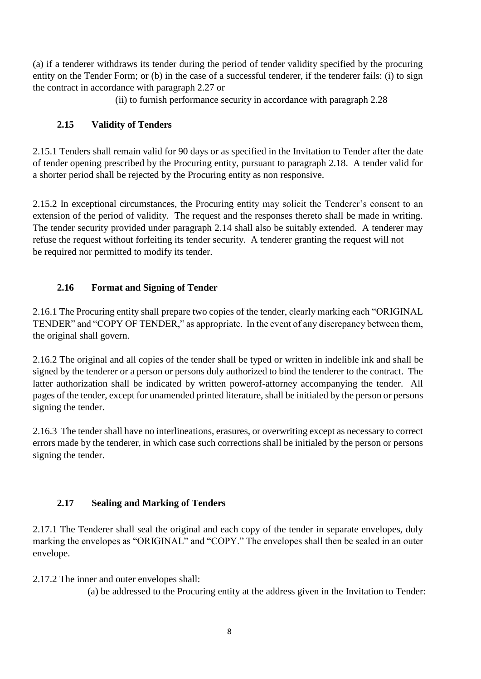(a) if a tenderer withdraws its tender during the period of tender validity specified by the procuring entity on the Tender Form; or (b) in the case of a successful tenderer, if the tenderer fails: (i) to sign the contract in accordance with paragraph 2.27 or

(ii) to furnish performance security in accordance with paragraph 2.28

## **2.15 Validity of Tenders**

2.15.1 Tenders shall remain valid for 90 days or as specified in the Invitation to Tender after the date of tender opening prescribed by the Procuring entity, pursuant to paragraph 2.18. A tender valid for a shorter period shall be rejected by the Procuring entity as non responsive.

2.15.2 In exceptional circumstances, the Procuring entity may solicit the Tenderer's consent to an extension of the period of validity. The request and the responses thereto shall be made in writing. The tender security provided under paragraph 2.14 shall also be suitably extended. A tenderer may refuse the request without forfeiting its tender security. A tenderer granting the request will not be required nor permitted to modify its tender.

## **2.16 Format and Signing of Tender**

2.16.1 The Procuring entity shall prepare two copies of the tender, clearly marking each "ORIGINAL TENDER" and "COPY OF TENDER," as appropriate. In the event of any discrepancy between them, the original shall govern.

2.16.2 The original and all copies of the tender shall be typed or written in indelible ink and shall be signed by the tenderer or a person or persons duly authorized to bind the tenderer to the contract. The latter authorization shall be indicated by written powerof-attorney accompanying the tender. All pages of the tender, except for unamended printed literature, shall be initialed by the person or persons signing the tender.

2.16.3 The tender shall have no interlineations, erasures, or overwriting except as necessary to correct errors made by the tenderer, in which case such corrections shall be initialed by the person or persons signing the tender.

## **2.17 Sealing and Marking of Tenders**

2.17.1 The Tenderer shall seal the original and each copy of the tender in separate envelopes, duly marking the envelopes as "ORIGINAL" and "COPY." The envelopes shall then be sealed in an outer envelope.

2.17.2 The inner and outer envelopes shall:

(a) be addressed to the Procuring entity at the address given in the Invitation to Tender: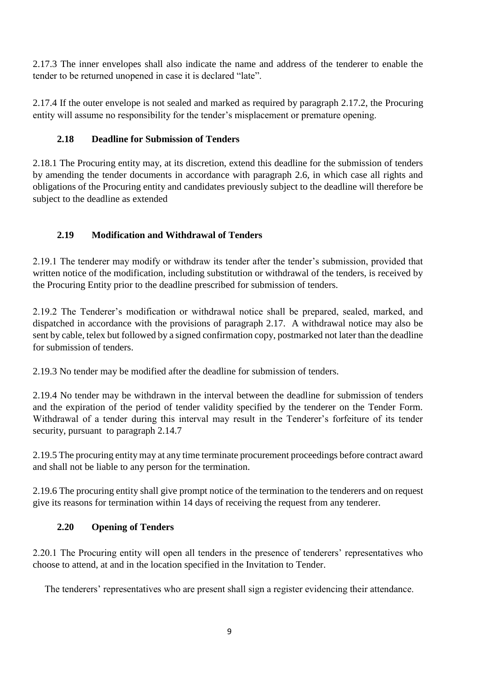2.17.3 The inner envelopes shall also indicate the name and address of the tenderer to enable the tender to be returned unopened in case it is declared "late".

2.17.4 If the outer envelope is not sealed and marked as required by paragraph 2.17.2, the Procuring entity will assume no responsibility for the tender's misplacement or premature opening.

## **2.18 Deadline for Submission of Tenders**

2.18.1 The Procuring entity may, at its discretion, extend this deadline for the submission of tenders by amending the tender documents in accordance with paragraph 2.6, in which case all rights and obligations of the Procuring entity and candidates previously subject to the deadline will therefore be subject to the deadline as extended

## **2.19 Modification and Withdrawal of Tenders**

2.19.1 The tenderer may modify or withdraw its tender after the tender's submission, provided that written notice of the modification, including substitution or withdrawal of the tenders, is received by the Procuring Entity prior to the deadline prescribed for submission of tenders.

2.19.2 The Tenderer's modification or withdrawal notice shall be prepared, sealed, marked, and dispatched in accordance with the provisions of paragraph 2.17. A withdrawal notice may also be sent by cable, telex but followed by a signed confirmation copy, postmarked not later than the deadline for submission of tenders.

2.19.3 No tender may be modified after the deadline for submission of tenders.

2.19.4 No tender may be withdrawn in the interval between the deadline for submission of tenders and the expiration of the period of tender validity specified by the tenderer on the Tender Form. Withdrawal of a tender during this interval may result in the Tenderer's forfeiture of its tender security, pursuant to paragraph 2.14.7

2.19.5 The procuring entity may at any time terminate procurement proceedings before contract award and shall not be liable to any person for the termination.

2.19.6 The procuring entity shall give prompt notice of the termination to the tenderers and on request give its reasons for termination within 14 days of receiving the request from any tenderer.

## **2.20 Opening of Tenders**

2.20.1 The Procuring entity will open all tenders in the presence of tenderers' representatives who choose to attend, at and in the location specified in the Invitation to Tender.

The tenderers' representatives who are present shall sign a register evidencing their attendance.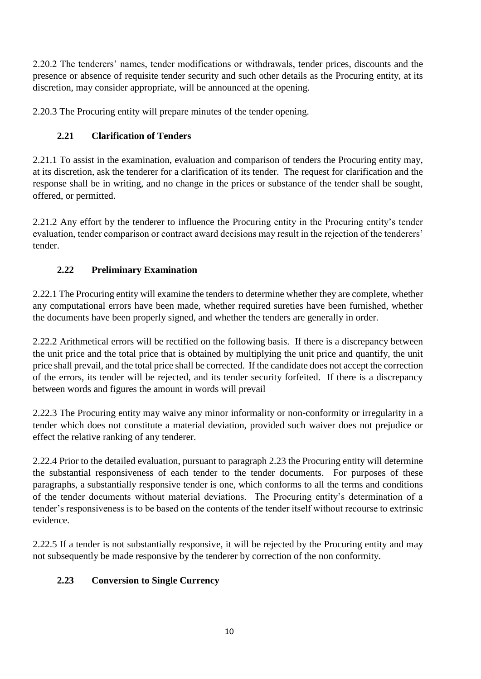2.20.2 The tenderers' names, tender modifications or withdrawals, tender prices, discounts and the presence or absence of requisite tender security and such other details as the Procuring entity, at its discretion, may consider appropriate, will be announced at the opening.

2.20.3 The Procuring entity will prepare minutes of the tender opening.

## **2.21 Clarification of Tenders**

2.21.1 To assist in the examination, evaluation and comparison of tenders the Procuring entity may, at its discretion, ask the tenderer for a clarification of its tender. The request for clarification and the response shall be in writing, and no change in the prices or substance of the tender shall be sought, offered, or permitted.

2.21.2 Any effort by the tenderer to influence the Procuring entity in the Procuring entity's tender evaluation, tender comparison or contract award decisions may result in the rejection of the tenderers' tender.

## **2.22 Preliminary Examination**

2.22.1 The Procuring entity will examine the tenders to determine whether they are complete, whether any computational errors have been made, whether required sureties have been furnished, whether the documents have been properly signed, and whether the tenders are generally in order.

2.22.2 Arithmetical errors will be rectified on the following basis. If there is a discrepancy between the unit price and the total price that is obtained by multiplying the unit price and quantify, the unit price shall prevail, and the total price shall be corrected. If the candidate does not accept the correction of the errors, its tender will be rejected, and its tender security forfeited. If there is a discrepancy between words and figures the amount in words will prevail

2.22.3 The Procuring entity may waive any minor informality or non-conformity or irregularity in a tender which does not constitute a material deviation, provided such waiver does not prejudice or effect the relative ranking of any tenderer.

2.22.4 Prior to the detailed evaluation, pursuant to paragraph 2.23 the Procuring entity will determine the substantial responsiveness of each tender to the tender documents. For purposes of these paragraphs, a substantially responsive tender is one, which conforms to all the terms and conditions of the tender documents without material deviations. The Procuring entity's determination of a tender's responsiveness is to be based on the contents of the tender itself without recourse to extrinsic evidence.

2.22.5 If a tender is not substantially responsive, it will be rejected by the Procuring entity and may not subsequently be made responsive by the tenderer by correction of the non conformity.

## **2.23 Conversion to Single Currency**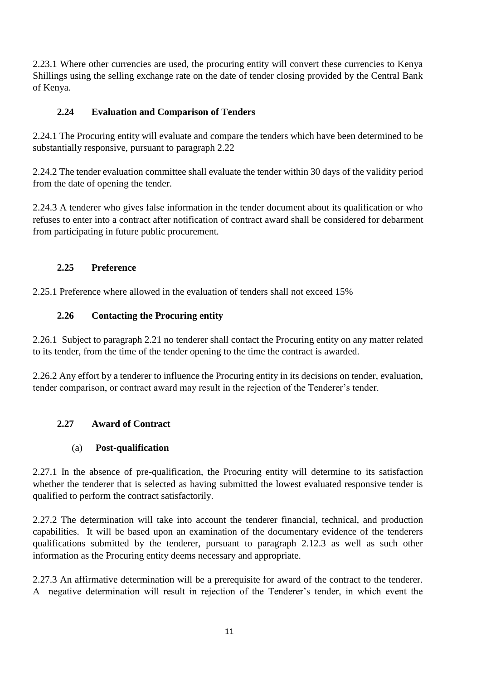2.23.1 Where other currencies are used, the procuring entity will convert these currencies to Kenya Shillings using the selling exchange rate on the date of tender closing provided by the Central Bank of Kenya.

## **2.24 Evaluation and Comparison of Tenders**

2.24.1 The Procuring entity will evaluate and compare the tenders which have been determined to be substantially responsive, pursuant to paragraph 2.22

2.24.2 The tender evaluation committee shall evaluate the tender within 30 days of the validity period from the date of opening the tender.

2.24.3 A tenderer who gives false information in the tender document about its qualification or who refuses to enter into a contract after notification of contract award shall be considered for debarment from participating in future public procurement.

## **2.25 Preference**

2.25.1 Preference where allowed in the evaluation of tenders shall not exceed 15%

#### **2.26 Contacting the Procuring entity**

2.26.1 Subject to paragraph 2.21 no tenderer shall contact the Procuring entity on any matter related to its tender, from the time of the tender opening to the time the contract is awarded.

2.26.2 Any effort by a tenderer to influence the Procuring entity in its decisions on tender, evaluation, tender comparison, or contract award may result in the rejection of the Tenderer's tender.

## **2.27 Award of Contract**

#### (a) **Post-qualification**

2.27.1 In the absence of pre-qualification, the Procuring entity will determine to its satisfaction whether the tenderer that is selected as having submitted the lowest evaluated responsive tender is qualified to perform the contract satisfactorily.

2.27.2 The determination will take into account the tenderer financial, technical, and production capabilities. It will be based upon an examination of the documentary evidence of the tenderers qualifications submitted by the tenderer, pursuant to paragraph 2.12.3 as well as such other information as the Procuring entity deems necessary and appropriate.

2.27.3 An affirmative determination will be a prerequisite for award of the contract to the tenderer. A negative determination will result in rejection of the Tenderer's tender, in which event the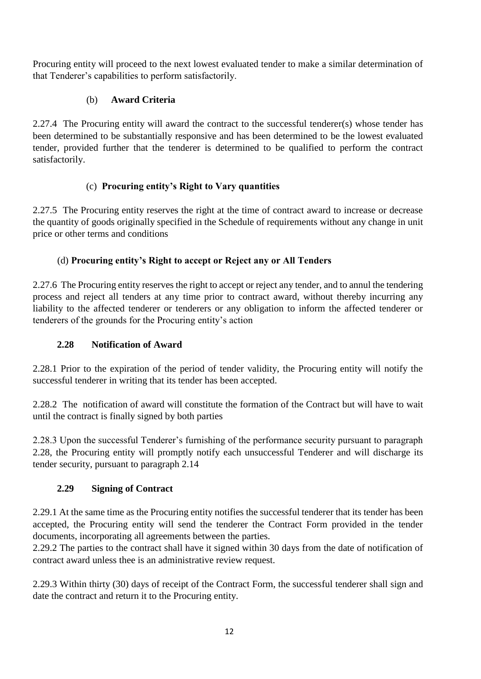Procuring entity will proceed to the next lowest evaluated tender to make a similar determination of that Tenderer's capabilities to perform satisfactorily.

## (b) **Award Criteria**

2.27.4 The Procuring entity will award the contract to the successful tenderer(s) whose tender has been determined to be substantially responsive and has been determined to be the lowest evaluated tender, provided further that the tenderer is determined to be qualified to perform the contract satisfactorily.

## (c) **Procuring entity's Right to Vary quantities**

2.27.5 The Procuring entity reserves the right at the time of contract award to increase or decrease the quantity of goods originally specified in the Schedule of requirements without any change in unit price or other terms and conditions

## (d) **Procuring entity's Right to accept or Reject any or All Tenders**

2.27.6 The Procuring entity reserves the right to accept or reject any tender, and to annul the tendering process and reject all tenders at any time prior to contract award, without thereby incurring any liability to the affected tenderer or tenderers or any obligation to inform the affected tenderer or tenderers of the grounds for the Procuring entity's action

## **2.28 Notification of Award**

2.28.1 Prior to the expiration of the period of tender validity, the Procuring entity will notify the successful tenderer in writing that its tender has been accepted.

2.28.2 The notification of award will constitute the formation of the Contract but will have to wait until the contract is finally signed by both parties

2.28.3 Upon the successful Tenderer's furnishing of the performance security pursuant to paragraph 2.28, the Procuring entity will promptly notify each unsuccessful Tenderer and will discharge its tender security, pursuant to paragraph 2.14

## **2.29 Signing of Contract**

2.29.1 At the same time as the Procuring entity notifies the successful tenderer that its tender has been accepted, the Procuring entity will send the tenderer the Contract Form provided in the tender documents, incorporating all agreements between the parties.

2.29.2 The parties to the contract shall have it signed within 30 days from the date of notification of contract award unless thee is an administrative review request.

2.29.3 Within thirty (30) days of receipt of the Contract Form, the successful tenderer shall sign and date the contract and return it to the Procuring entity.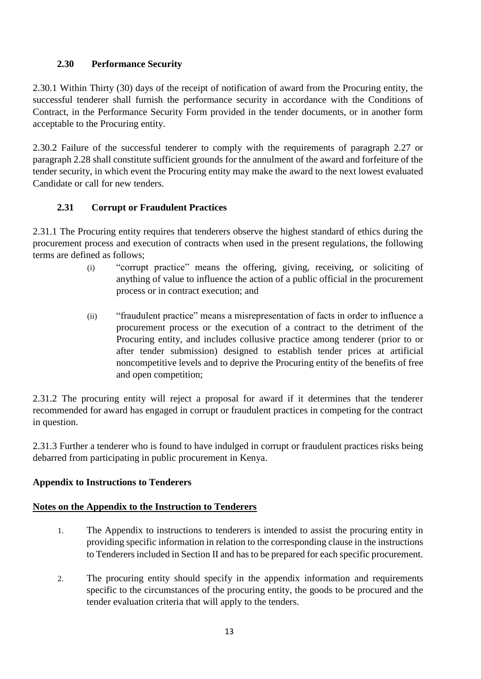## **2.30 Performance Security**

2.30.1 Within Thirty (30) days of the receipt of notification of award from the Procuring entity, the successful tenderer shall furnish the performance security in accordance with the Conditions of Contract, in the Performance Security Form provided in the tender documents, or in another form acceptable to the Procuring entity.

2.30.2 Failure of the successful tenderer to comply with the requirements of paragraph 2.27 or paragraph 2.28 shall constitute sufficient grounds for the annulment of the award and forfeiture of the tender security, in which event the Procuring entity may make the award to the next lowest evaluated Candidate or call for new tenders.

## **2.31 Corrupt or Fraudulent Practices**

2.31.1 The Procuring entity requires that tenderers observe the highest standard of ethics during the procurement process and execution of contracts when used in the present regulations, the following terms are defined as follows;

- (i) "corrupt practice" means the offering, giving, receiving, or soliciting of anything of value to influence the action of a public official in the procurement process or in contract execution; and
- (ii) "fraudulent practice" means a misrepresentation of facts in order to influence a procurement process or the execution of a contract to the detriment of the Procuring entity, and includes collusive practice among tenderer (prior to or after tender submission) designed to establish tender prices at artificial noncompetitive levels and to deprive the Procuring entity of the benefits of free and open competition;

2.31.2 The procuring entity will reject a proposal for award if it determines that the tenderer recommended for award has engaged in corrupt or fraudulent practices in competing for the contract in question.

2.31.3 Further a tenderer who is found to have indulged in corrupt or fraudulent practices risks being debarred from participating in public procurement in Kenya.

#### **Appendix to Instructions to Tenderers**

#### **Notes on the Appendix to the Instruction to Tenderers**

- 1. The Appendix to instructions to tenderers is intended to assist the procuring entity in providing specific information in relation to the corresponding clause in the instructions to Tenderers included in Section II and has to be prepared for each specific procurement.
- 2. The procuring entity should specify in the appendix information and requirements specific to the circumstances of the procuring entity, the goods to be procured and the tender evaluation criteria that will apply to the tenders.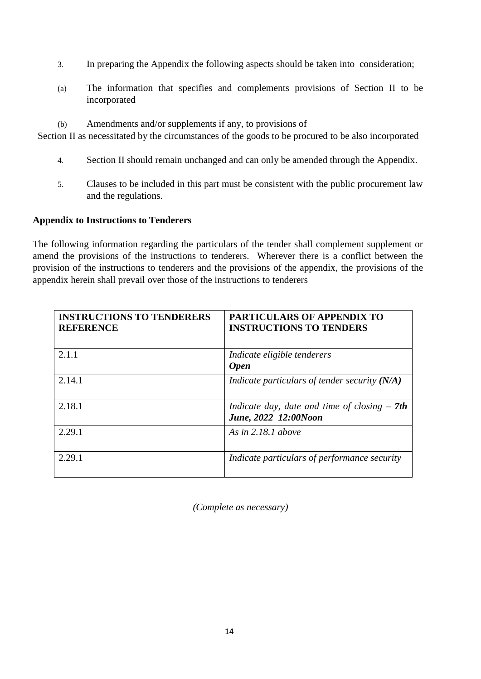- 3. In preparing the Appendix the following aspects should be taken into consideration;
- (a) The information that specifies and complements provisions of Section II to be incorporated
- (b) Amendments and/or supplements if any, to provisions of

Section II as necessitated by the circumstances of the goods to be procured to be also incorporated

- 4. Section II should remain unchanged and can only be amended through the Appendix.
- 5. Clauses to be included in this part must be consistent with the public procurement law and the regulations.

#### **Appendix to Instructions to Tenderers**

The following information regarding the particulars of the tender shall complement supplement or amend the provisions of the instructions to tenderers. Wherever there is a conflict between the provision of the instructions to tenderers and the provisions of the appendix, the provisions of the appendix herein shall prevail over those of the instructions to tenderers

| <b>INSTRUCTIONS TO TENDERERS</b><br><b>REFERENCE</b> | <b>PARTICULARS OF APPENDIX TO</b><br><b>INSTRUCTIONS TO TENDERS</b>    |
|------------------------------------------------------|------------------------------------------------------------------------|
| 2.1.1                                                | Indicate eligible tenderers<br><b>Open</b>                             |
| 2.14.1                                               | Indicate particulars of tender security $(N/A)$                        |
| 2.18.1                                               | Indicate day, date and time of closing $-$ 7th<br>June, 2022 12:00Noon |
| 2.29.1                                               | As in $2.18.1$ above                                                   |
| 2.29.1                                               | Indicate particulars of performance security                           |

*(Complete as necessary)*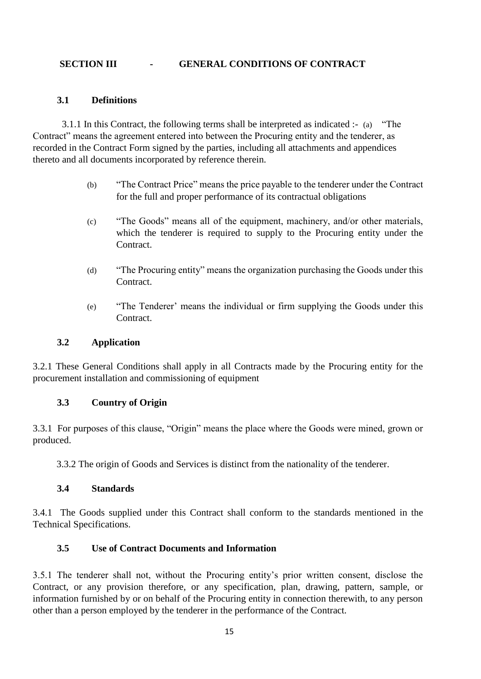#### **SECTION III - GENERAL CONDITIONS OF CONTRACT**

#### **3.1 Definitions**

3.1.1 In this Contract, the following terms shall be interpreted as indicated :- (a) "The Contract" means the agreement entered into between the Procuring entity and the tenderer, as recorded in the Contract Form signed by the parties, including all attachments and appendices thereto and all documents incorporated by reference therein.

- (b) "The Contract Price" means the price payable to the tenderer under the Contract for the full and proper performance of its contractual obligations
- (c) "The Goods" means all of the equipment, machinery, and/or other materials, which the tenderer is required to supply to the Procuring entity under the Contract.
- (d) "The Procuring entity" means the organization purchasing the Goods under this **Contract**
- (e) "The Tenderer' means the individual or firm supplying the Goods under this Contract.

#### **3.2 Application**

3.2.1 These General Conditions shall apply in all Contracts made by the Procuring entity for the procurement installation and commissioning of equipment

#### **3.3 Country of Origin**

3.3.1 For purposes of this clause, "Origin" means the place where the Goods were mined, grown or produced.

3.3.2 The origin of Goods and Services is distinct from the nationality of the tenderer.

#### **3.4 Standards**

3.4.1 The Goods supplied under this Contract shall conform to the standards mentioned in the Technical Specifications.

#### **3.5 Use of Contract Documents and Information**

3.5.1 The tenderer shall not, without the Procuring entity's prior written consent, disclose the Contract, or any provision therefore, or any specification, plan, drawing, pattern, sample, or information furnished by or on behalf of the Procuring entity in connection therewith, to any person other than a person employed by the tenderer in the performance of the Contract.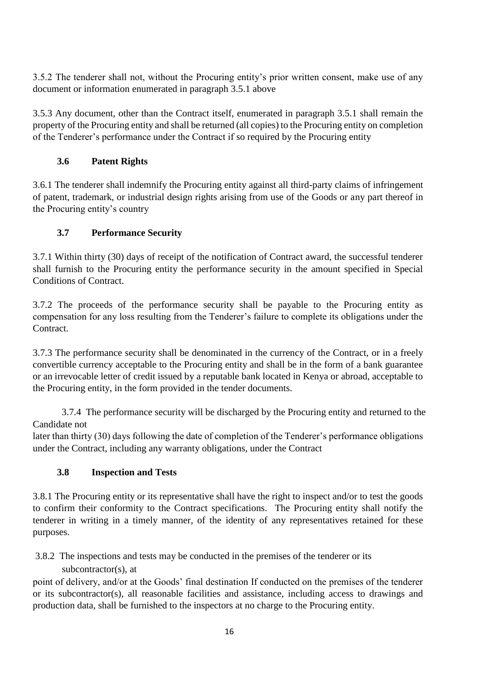3.5.2 The tenderer shall not, without the Procuring entity's prior written consent, make use of any document or information enumerated in paragraph 3.5.1 above

3.5.3 Any document, other than the Contract itself, enumerated in paragraph 3.5.1 shall remain the property of the Procuring entity and shall be returned (all copies) to the Procuring entity on completion of the Tenderer's performance under the Contract if so required by the Procuring entity

## **3.6 Patent Rights**

3.6.1 The tenderer shall indemnify the Procuring entity against all third-party claims of infringement of patent, trademark, or industrial design rights arising from use of the Goods or any part thereof in the Procuring entity's country

## **3.7 Performance Security**

3.7.1 Within thirty (30) days of receipt of the notification of Contract award, the successful tenderer shall furnish to the Procuring entity the performance security in the amount specified in Special Conditions of Contract.

3.7.2 The proceeds of the performance security shall be payable to the Procuring entity as compensation for any loss resulting from the Tenderer's failure to complete its obligations under the Contract.

3.7.3 The performance security shall be denominated in the currency of the Contract, or in a freely convertible currency acceptable to the Procuring entity and shall be in the form of a bank guarantee or an irrevocable letter of credit issued by a reputable bank located in Kenya or abroad, acceptable to the Procuring entity, in the form provided in the tender documents.

3.7.4 The performance security will be discharged by the Procuring entity and returned to the Candidate not

later than thirty (30) days following the date of completion of the Tenderer's performance obligations under the Contract, including any warranty obligations, under the Contract

## **3.8 Inspection and Tests**

3.8.1 The Procuring entity or its representative shall have the right to inspect and/or to test the goods to confirm their conformity to the Contract specifications. The Procuring entity shall notify the tenderer in writing in a timely manner, of the identity of any representatives retained for these purposes.

3.8.2 The inspections and tests may be conducted in the premises of the tenderer or its subcontractor(s), at

point of delivery, and/or at the Goods' final destination If conducted on the premises of the tenderer or its subcontractor(s), all reasonable facilities and assistance, including access to drawings and production data, shall be furnished to the inspectors at no charge to the Procuring entity.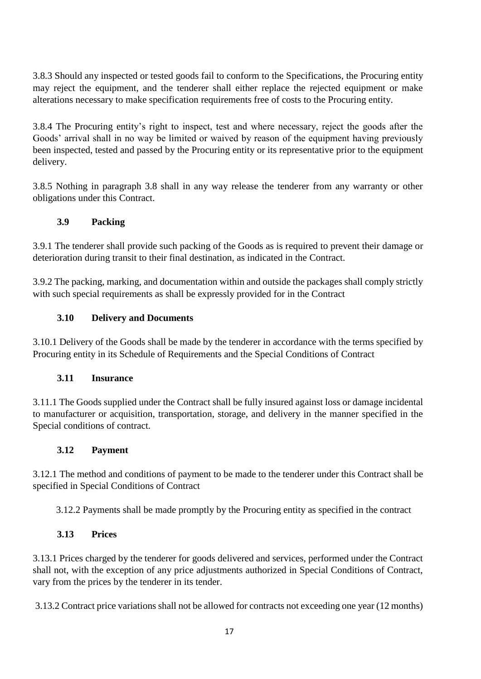3.8.3 Should any inspected or tested goods fail to conform to the Specifications, the Procuring entity may reject the equipment, and the tenderer shall either replace the rejected equipment or make alterations necessary to make specification requirements free of costs to the Procuring entity.

3.8.4 The Procuring entity's right to inspect, test and where necessary, reject the goods after the Goods' arrival shall in no way be limited or waived by reason of the equipment having previously been inspected, tested and passed by the Procuring entity or its representative prior to the equipment delivery.

3.8.5 Nothing in paragraph 3.8 shall in any way release the tenderer from any warranty or other obligations under this Contract.

## **3.9 Packing**

3.9.1 The tenderer shall provide such packing of the Goods as is required to prevent their damage or deterioration during transit to their final destination, as indicated in the Contract.

3.9.2 The packing, marking, and documentation within and outside the packages shall comply strictly with such special requirements as shall be expressly provided for in the Contract

## **3.10 Delivery and Documents**

3.10.1 Delivery of the Goods shall be made by the tenderer in accordance with the terms specified by Procuring entity in its Schedule of Requirements and the Special Conditions of Contract

## **3.11 Insurance**

3.11.1 The Goods supplied under the Contract shall be fully insured against loss or damage incidental to manufacturer or acquisition, transportation, storage, and delivery in the manner specified in the Special conditions of contract.

## **3.12 Payment**

3.12.1 The method and conditions of payment to be made to the tenderer under this Contract shall be specified in Special Conditions of Contract

3.12.2 Payments shall be made promptly by the Procuring entity as specified in the contract

## **3.13 Prices**

3.13.1 Prices charged by the tenderer for goods delivered and services, performed under the Contract shall not, with the exception of any price adjustments authorized in Special Conditions of Contract, vary from the prices by the tenderer in its tender.

3.13.2 Contract price variations shall not be allowed for contracts not exceeding one year (12 months)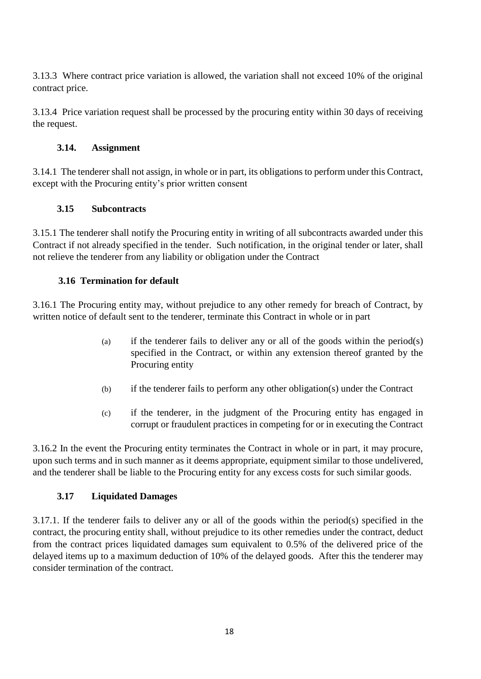3.13.3 Where contract price variation is allowed, the variation shall not exceed 10% of the original contract price.

3.13.4 Price variation request shall be processed by the procuring entity within 30 days of receiving the request.

#### **3.14. Assignment**

3.14.1 The tenderer shall not assign, in whole or in part, its obligations to perform under this Contract, except with the Procuring entity's prior written consent

#### **3.15 Subcontracts**

3.15.1 The tenderer shall notify the Procuring entity in writing of all subcontracts awarded under this Contract if not already specified in the tender. Such notification, in the original tender or later, shall not relieve the tenderer from any liability or obligation under the Contract

#### **3.16 Termination for default**

3.16.1 The Procuring entity may, without prejudice to any other remedy for breach of Contract, by written notice of default sent to the tenderer, terminate this Contract in whole or in part

- (a) if the tenderer fails to deliver any or all of the goods within the period(s) specified in the Contract, or within any extension thereof granted by the Procuring entity
- (b) if the tenderer fails to perform any other obligation(s) under the Contract
- (c) if the tenderer, in the judgment of the Procuring entity has engaged in corrupt or fraudulent practices in competing for or in executing the Contract

3.16.2 In the event the Procuring entity terminates the Contract in whole or in part, it may procure, upon such terms and in such manner as it deems appropriate, equipment similar to those undelivered, and the tenderer shall be liable to the Procuring entity for any excess costs for such similar goods.

## **3.17 Liquidated Damages**

3.17.1. If the tenderer fails to deliver any or all of the goods within the period(s) specified in the contract, the procuring entity shall, without prejudice to its other remedies under the contract, deduct from the contract prices liquidated damages sum equivalent to 0.5% of the delivered price of the delayed items up to a maximum deduction of 10% of the delayed goods. After this the tenderer may consider termination of the contract.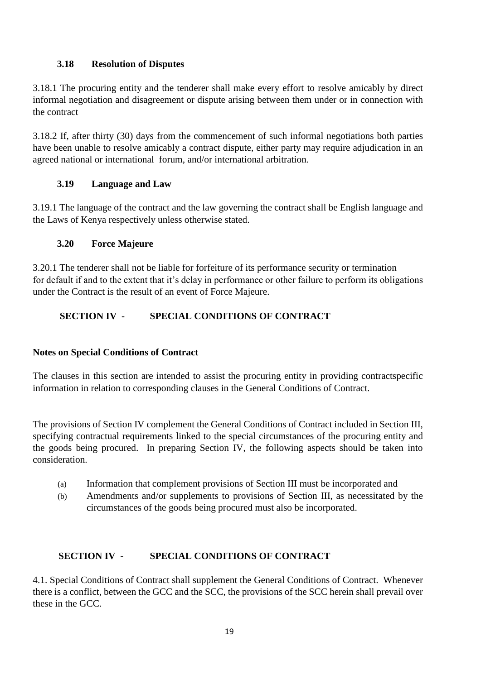#### **3.18 Resolution of Disputes**

3.18.1 The procuring entity and the tenderer shall make every effort to resolve amicably by direct informal negotiation and disagreement or dispute arising between them under or in connection with the contract

3.18.2 If, after thirty (30) days from the commencement of such informal negotiations both parties have been unable to resolve amicably a contract dispute, either party may require adjudication in an agreed national or international forum, and/or international arbitration.

#### **3.19 Language and Law**

3.19.1 The language of the contract and the law governing the contract shall be English language and the Laws of Kenya respectively unless otherwise stated.

#### **3.20 Force Majeure**

3.20.1 The tenderer shall not be liable for forfeiture of its performance security or termination for default if and to the extent that it's delay in performance or other failure to perform its obligations under the Contract is the result of an event of Force Majeure.

## **SECTION IV - SPECIAL CONDITIONS OF CONTRACT**

## **Notes on Special Conditions of Contract**

The clauses in this section are intended to assist the procuring entity in providing contractspecific information in relation to corresponding clauses in the General Conditions of Contract.

The provisions of Section IV complement the General Conditions of Contract included in Section III, specifying contractual requirements linked to the special circumstances of the procuring entity and the goods being procured. In preparing Section IV, the following aspects should be taken into consideration.

- (a) Information that complement provisions of Section III must be incorporated and
- (b) Amendments and/or supplements to provisions of Section III, as necessitated by the circumstances of the goods being procured must also be incorporated.

## **SECTION IV - SPECIAL CONDITIONS OF CONTRACT**

4.1. Special Conditions of Contract shall supplement the General Conditions of Contract. Whenever there is a conflict, between the GCC and the SCC, the provisions of the SCC herein shall prevail over these in the GCC.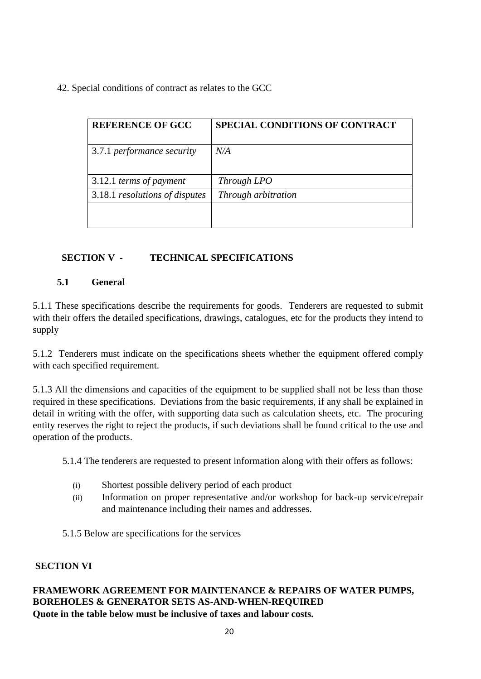42. Special conditions of contract as relates to the GCC

| <b>SPECIAL CONDITIONS OF CONTRACT</b> |
|---------------------------------------|
| N/A                                   |
| Through LPO                           |
| Through arbitration                   |
|                                       |
|                                       |

## **SECTION V - TECHNICAL SPECIFICATIONS**

## **5.1 General**

5.1.1 These specifications describe the requirements for goods. Tenderers are requested to submit with their offers the detailed specifications, drawings, catalogues, etc for the products they intend to supply

5.1.2 Tenderers must indicate on the specifications sheets whether the equipment offered comply with each specified requirement.

5.1.3 All the dimensions and capacities of the equipment to be supplied shall not be less than those required in these specifications. Deviations from the basic requirements, if any shall be explained in detail in writing with the offer, with supporting data such as calculation sheets, etc. The procuring entity reserves the right to reject the products, if such deviations shall be found critical to the use and operation of the products.

5.1.4 The tenderers are requested to present information along with their offers as follows:

- (i) Shortest possible delivery period of each product
- (ii) Information on proper representative and/or workshop for back-up service/repair and maintenance including their names and addresses.
- 5.1.5 Below are specifications for the services

#### **SECTION VI**

#### **FRAMEWORK AGREEMENT FOR MAINTENANCE & REPAIRS OF WATER PUMPS, BOREHOLES & GENERATOR SETS AS-AND-WHEN-REQUIRED Quote in the table below must be inclusive of taxes and labour costs.**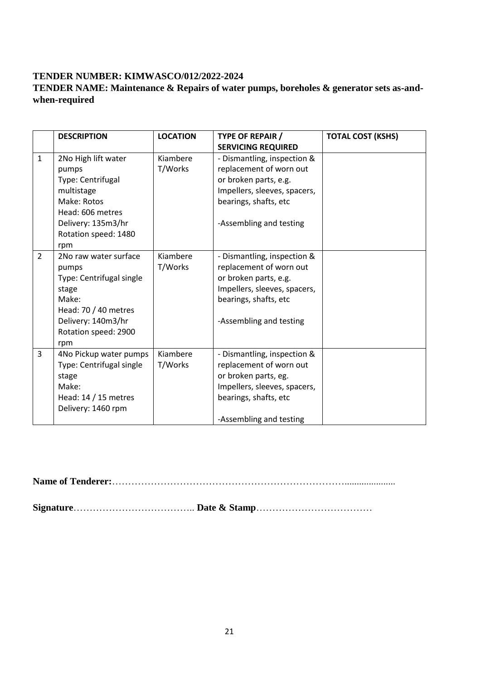## **TENDER NUMBER: KIMWASCO/012/2022-2024**

## **TENDER NAME: Maintenance & Repairs of water pumps, boreholes & generator sets as-andwhen-required**

|              | <b>DESCRIPTION</b>                                                                                                                                        | <b>LOCATION</b>     | <b>TYPE OF REPAIR /</b><br><b>SERVICING REQUIRED</b>                                                                                                                | <b>TOTAL COST (KSHS)</b> |
|--------------|-----------------------------------------------------------------------------------------------------------------------------------------------------------|---------------------|---------------------------------------------------------------------------------------------------------------------------------------------------------------------|--------------------------|
| $\mathbf{1}$ | 2No High lift water<br>pumps<br>Type: Centrifugal<br>multistage<br>Make: Rotos<br>Head: 606 metres<br>Delivery: 135m3/hr<br>Rotation speed: 1480<br>rpm   | Kiambere<br>T/Works | - Dismantling, inspection &<br>replacement of worn out<br>or broken parts, e.g.<br>Impellers, sleeves, spacers,<br>bearings, shafts, etc<br>-Assembling and testing |                          |
| 2            | 2No raw water surface<br>pumps<br>Type: Centrifugal single<br>stage<br>Make:<br>Head: 70 / 40 metres<br>Delivery: 140m3/hr<br>Rotation speed: 2900<br>rpm | Kiambere<br>T/Works | - Dismantling, inspection &<br>replacement of worn out<br>or broken parts, e.g.<br>Impellers, sleeves, spacers,<br>bearings, shafts, etc<br>-Assembling and testing |                          |
| 3            | 4No Pickup water pumps<br>Type: Centrifugal single<br>stage<br>Make:<br>Head: $14/15$ metres<br>Delivery: 1460 rpm                                        | Kiambere<br>T/Works | - Dismantling, inspection &<br>replacement of worn out<br>or broken parts, eg.<br>Impellers, sleeves, spacers,<br>bearings, shafts, etc<br>-Assembling and testing  |                          |

**Name of Tenderer:**……………………………………………………………….....................

**Signature**……………………………….. **Date & Stamp**………………………………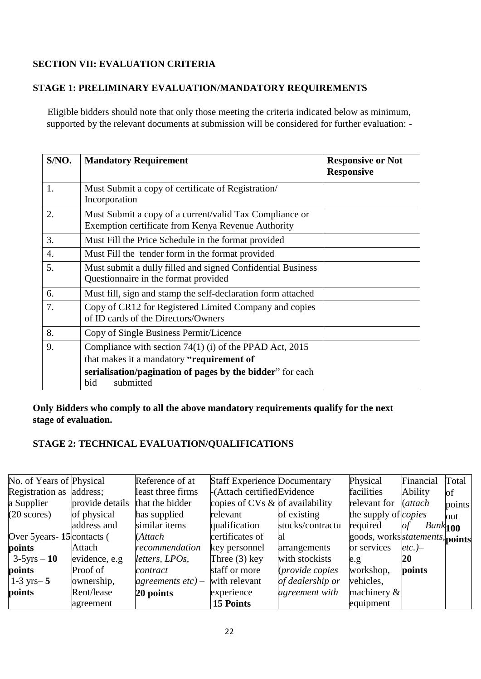## **SECTION VII: EVALUATION CRITERIA**

## **STAGE 1: PRELIMINARY EVALUATION/MANDATORY REQUIREMENTS**

Eligible bidders should note that only those meeting the criteria indicated below as minimum, supported by the relevant documents at submission will be considered for further evaluation: -

| S/NO.            | <b>Mandatory Requirement</b>                                                                                  | <b>Responsive or Not</b><br><b>Responsive</b> |
|------------------|---------------------------------------------------------------------------------------------------------------|-----------------------------------------------|
| 1.               | Must Submit a copy of certificate of Registration<br>Incorporation                                            |                                               |
| 2.               | Must Submit a copy of a current/valid Tax Compliance or<br>Exemption certificate from Kenya Revenue Authority |                                               |
| 3.               | Must Fill the Price Schedule in the format provided                                                           |                                               |
| $\overline{4}$ . | Must Fill the tender form in the format provided                                                              |                                               |
| 5.               | Must submit a dully filled and signed Confidential Business<br>Questionnaire in the format provided           |                                               |
| 6.               | Must fill, sign and stamp the self-declaration form attached                                                  |                                               |
| 7.               | Copy of CR12 for Registered Limited Company and copies<br>of ID cards of the Directors/Owners                 |                                               |
| 8.               | Copy of Single Business Permit/Licence                                                                        |                                               |
| 9.               | Compliance with section $74(1)$ (i) of the PPAD Act, 2015                                                     |                                               |
|                  | that makes it a mandatory "requirement of                                                                     |                                               |
|                  | serialisation/pagination of pages by the bidder" for each<br>submitted<br>bid                                 |                                               |

#### **Only Bidders who comply to all the above mandatory requirements qualify for the next stage of evaluation.**

## **STAGE 2: TECHNICAL EVALUATION/QUALIFICATIONS**

| No. of Years of Physical     |                 | Reference of at      | <b>Staff Experience Documentary</b> |                        | Physical                                | Financial                   | Total  |
|------------------------------|-----------------|----------------------|-------------------------------------|------------------------|-----------------------------------------|-----------------------------|--------|
| Registration as address;     |                 | least three firms    | -(Attach certified Evidence         |                        | facilities                              | Ability                     | of     |
| a Supplier                   | provide details | that the bidder      | copies of CVs $\&$ of availability  |                        | relevant for                            | <i>(attach)</i>             | points |
| $(20 \text{ scores})$        | of physical     | has supplied         | relevant                            | of existing            | the supply of <i>copies</i>             |                             | out    |
|                              | address and     | similar items        | qualification                       | stocks/contractu       | required                                | of<br>$Bank$ <sub>100</sub> |        |
| Over 5 years - 15 contacts ( |                 | (Attach              | certificates of                     | al                     | goods, works <i>statements</i> , points |                             |        |
| points                       | Attach          | recommendation       | key personnel                       | arrangements           | or services                             | $etc.$ )–                   |        |
| $3-5yrs - 10$                | evidence, e.g   | letters, LPOs,       | Three $(3)$ key                     | with stockists         | e.g.                                    | 20                          |        |
| points                       | Proof of        | contract             | staff or more                       | <i>(provide copies</i> | workshop,                               | points                      |        |
| $1-3$ yrs $-5$               | ownership,      | agreements $etc$ ) – | with relevant                       | of dealership or       | vehicles,                               |                             |        |
| points                       | Rent/lease      | 20 points            | experience                          | agreement with         | machinery $\&$                          |                             |        |
|                              | agreement       |                      | <b>15 Points</b>                    |                        | equipment                               |                             |        |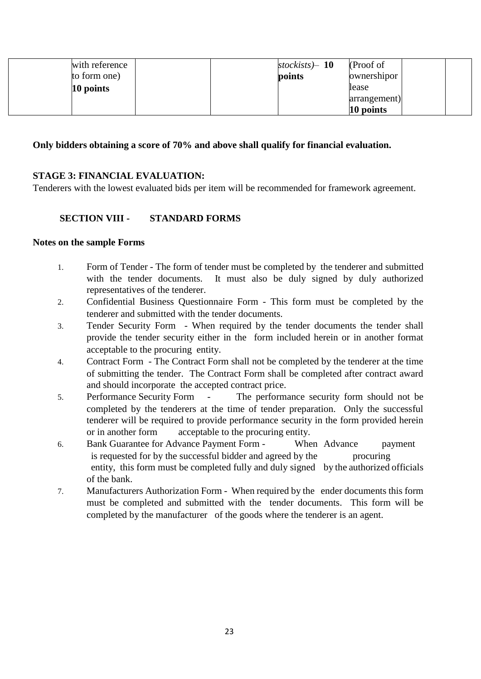| with reference | stockists $-10$<br>(Proof of) |
|----------------|-------------------------------|
| to form one)   | ownershipor<br>points         |
| $10$ points    | lease                         |
|                | arrangement)                  |
|                | 10 points                     |

#### **Only bidders obtaining a score of 70% and above shall qualify for financial evaluation.**

#### **STAGE 3: FINANCIAL EVALUATION:**

Tenderers with the lowest evaluated bids per item will be recommended for framework agreement.

#### **SECTION VIII - STANDARD FORMS**

#### **Notes on the sample Forms**

- 1. Form of Tender The form of tender must be completed by the tenderer and submitted with the tender documents. It must also be duly signed by duly authorized representatives of the tenderer.
- 2. Confidential Business Questionnaire Form This form must be completed by the tenderer and submitted with the tender documents.
- 3. Tender Security Form When required by the tender documents the tender shall provide the tender security either in the form included herein or in another format acceptable to the procuring entity.
- 4. Contract Form The Contract Form shall not be completed by the tenderer at the time of submitting the tender. The Contract Form shall be completed after contract award and should incorporate the accepted contract price.
- 5. Performance Security Form The performance security form should not be completed by the tenderers at the time of tender preparation. Only the successful tenderer will be required to provide performance security in the form provided herein or in another form acceptable to the procuring entity.
- 6. Bank Guarantee for Advance Payment Form When Advance payment is requested for by the successful bidder and agreed by the procuring entity, this form must be completed fully and duly signed by the authorized officials of the bank.
- 7. Manufacturers Authorization Form When required by the ender documents this form must be completed and submitted with the tender documents. This form will be completed by the manufacturer of the goods where the tenderer is an agent.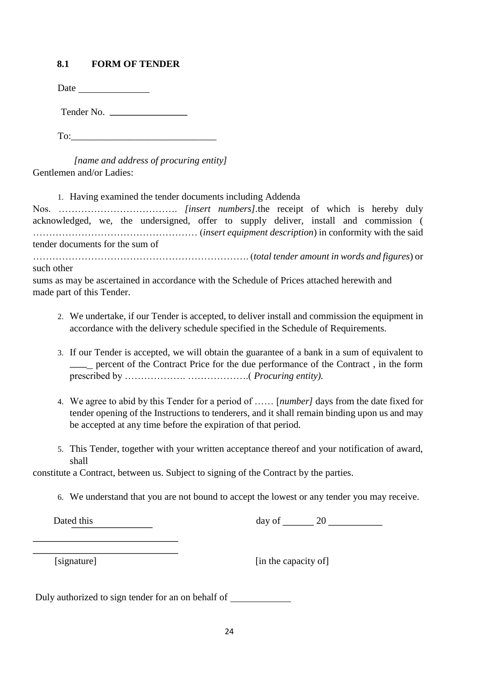#### **8.1 FORM OF TENDER**

Date and the same state of the state of the state of the state of the state of the state of the state of the state of the state of the state of the state of the state of the state of the state of the state of the state of

Tender No.

To:

 *[name and address of procuring entity]*  Gentlemen and/or Ladies:

1. Having examined the tender documents including Addenda

Nos. ………………………………. *[insert numbers].*the receipt of which is hereby duly acknowledged, we, the undersigned, offer to supply deliver, install and commission ( …………………………………………… (*insert equipment description*) in conformity with the said tender documents for the sum of

…………………………………………………………. (*total tender amount in words and figures*) or such other

sums as may be ascertained in accordance with the Schedule of Prices attached herewith and made part of this Tender.

- 2. We undertake, if our Tender is accepted, to deliver install and commission the equipment in accordance with the delivery schedule specified in the Schedule of Requirements.
- 3. If our Tender is accepted, we will obtain the guarantee of a bank in a sum of equivalent to percent of the Contract Price for the due performance of the Contract , in the form prescribed by ………………. ……………….( *Procuring entity).*
- 4. We agree to abid by this Tender for a period of …… [*number]* days from the date fixed for tender opening of the Instructions to tenderers, and it shall remain binding upon us and may be accepted at any time before the expiration of that period.
- 5. This Tender, together with your written acceptance thereof and your notification of award, shall

constitute a Contract, between us. Subject to signing of the Contract by the parties.

6. We understand that you are not bound to accept the lowest or any tender you may receive.

Dated this day of 20

[signature] [in the capacity of]

Duly authorized to sign tender for an on behalf of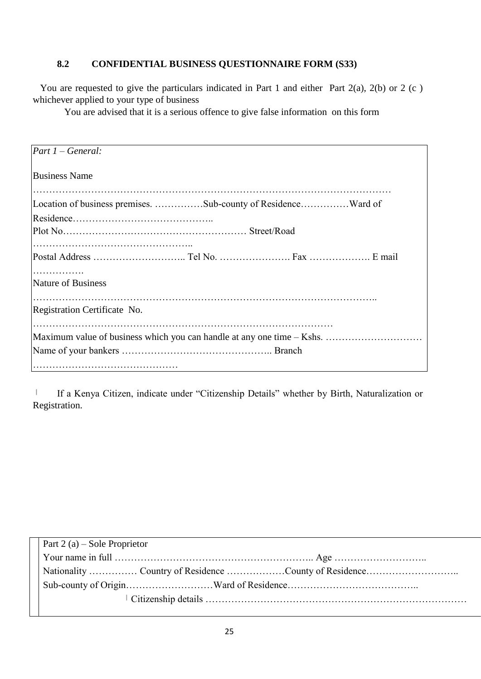## **8.2 CONFIDENTIAL BUSINESS QUESTIONNAIRE FORM (S33)**

You are requested to give the particulars indicated in Part 1 and either Part 2(a), 2(b) or 2 (c) whichever applied to your type of business

You are advised that it is a serious offence to give false information on this form

| $Part 1 - General:$                                                    |
|------------------------------------------------------------------------|
| <b>Business Name</b>                                                   |
| Location of business premises. Sub-county of ResidenceWard of          |
|                                                                        |
|                                                                        |
|                                                                        |
|                                                                        |
|                                                                        |
| Nature of Business                                                     |
|                                                                        |
| Registration Certificate No.                                           |
|                                                                        |
| Maximum value of business which you can handle at any one time – Kshs. |
|                                                                        |
|                                                                        |

 $\|$  If a Kenya Citizen, indicate under "Citizenship Details" whether by Birth, Naturalization or Registration.

| Part 2 (a) – Sole Proprietor |
|------------------------------|
|                              |
|                              |
|                              |
|                              |
|                              |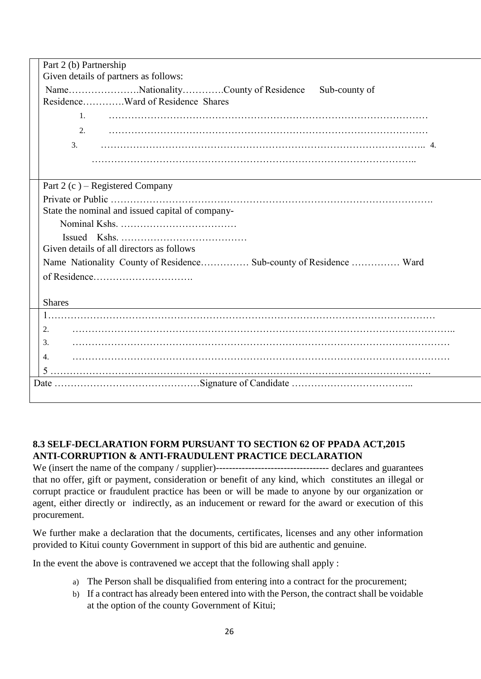| Part 2 (b) Partnership                                             |
|--------------------------------------------------------------------|
| Given details of partners as follows:                              |
| NameNationalityCounty of Residence<br>Sub-county of                |
| ResidenceWard of Residence Shares                                  |
| $\mathbf{1}$ .                                                     |
|                                                                    |
| 3.                                                                 |
|                                                                    |
|                                                                    |
|                                                                    |
| Part 2 (c) – Registered Company                                    |
|                                                                    |
| State the nominal and issued capital of company-                   |
|                                                                    |
|                                                                    |
| Given details of all directors as follows                          |
| Name Nationality County of Residence Sub-county of Residence  Ward |
| of Residence                                                       |
|                                                                    |
| <b>Shares</b>                                                      |
|                                                                    |
| 2.                                                                 |
| 3.                                                                 |
|                                                                    |
| 4.                                                                 |
|                                                                    |
|                                                                    |
|                                                                    |

## **8.3 SELF-DECLARATION FORM PURSUANT TO SECTION 62 OF PPADA ACT,2015 ANTI-CORRUPTION & ANTI-FRAUDULENT PRACTICE DECLARATION**

We (insert the name of the company / supplier)----------------------------------- declares and guarantees that no offer, gift or payment, consideration or benefit of any kind, which constitutes an illegal or corrupt practice or fraudulent practice has been or will be made to anyone by our organization or agent, either directly or indirectly, as an inducement or reward for the award or execution of this procurement.

We further make a declaration that the documents, certificates, licenses and any other information provided to Kitui county Government in support of this bid are authentic and genuine.

In the event the above is contravened we accept that the following shall apply :

- a) The Person shall be disqualified from entering into a contract for the procurement;
- b) If a contract has already been entered into with the Person, the contract shall be voidable at the option of the county Government of Kitui;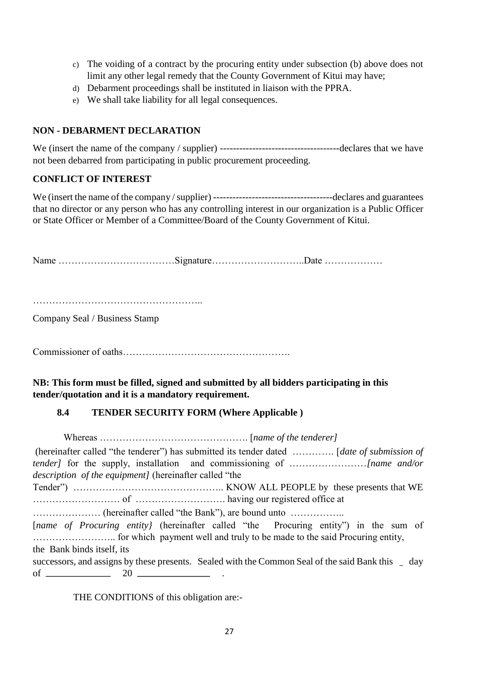- c) The voiding of a contract by the procuring entity under subsection (b) above does not limit any other legal remedy that the County Government of Kitui may have;
- d) Debarment proceedings shall be instituted in liaison with the PPRA.
- e) We shall take liability for all legal consequences.

#### **NON - DEBARMENT DECLARATION**

We (insert the name of the company / supplier) -------------------------------------declares that we have not been debarred from participating in public procurement proceeding.

#### **CONFLICT OF INTEREST**

We (insert the name of the company / supplier) -------------------------------------declares and guarantees that no director or any person who has any controlling interest in our organization is a Public Officer or State Officer or Member of a Committee/Board of the County Government of Kitui.

Name ………………………………Signature………………………..Date ………………

……………………………………………..

Company Seal / Business Stamp

Commissioner of oaths…………………………………………….

**NB: This form must be filled, signed and submitted by all bidders participating in this tender/quotation and it is a mandatory requirement.** 

#### **8.4 TENDER SECURITY FORM (Where Applicable )**

 Whereas ………………………………………. [*name of the tenderer]*  (hereinafter called "the tenderer") has submitted its tender dated …………. [*date of submission of tender]* for the supply, installation and commissioning of ……………………*[name and/or description of the equipment]* (hereinafter called "the Tender") ……………………………………….. KNOW ALL PEOPLE by these presents that WE ……………………… of ………………………. having our registered office at ………………… (hereinafter called "the Bank"), are bound unto …………….. [*name of Procuring entity*] (hereinafter called "the Procuring entity") in the sum of …………………….. for which payment well and truly to be made to the said Procuring entity, the Bank binds itself, its successors, and assigns by these presents. Sealed with the Common Seal of the said Bank this day of  $\frac{\ }{20}$   $\frac{20}{\ }$  .

THE CONDITIONS of this obligation are:-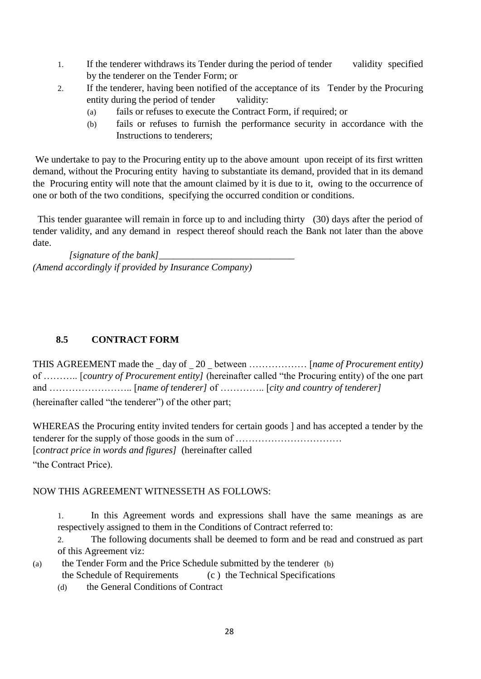- 1. If the tenderer withdraws its Tender during the period of tender validity specified by the tenderer on the Tender Form; or
- 2. If the tenderer, having been notified of the acceptance of its Tender by the Procuring entity during the period of tender validity:
	- (a) fails or refuses to execute the Contract Form, if required; or
	- (b) fails or refuses to furnish the performance security in accordance with the Instructions to tenderers;

We undertake to pay to the Procuring entity up to the above amount upon receipt of its first written demand, without the Procuring entity having to substantiate its demand, provided that in its demand the Procuring entity will note that the amount claimed by it is due to it, owing to the occurrence of one or both of the two conditions, specifying the occurred condition or conditions.

 This tender guarantee will remain in force up to and including thirty (30) days after the period of tender validity, and any demand in respect thereof should reach the Bank not later than the above date.

*[signature of the bank] (Amend accordingly if provided by Insurance Company)* 

## **8.5 CONTRACT FORM**

THIS AGREEMENT made the day of 20 between ……………… [*name of Procurement entity)* of ……….. [*country of Procurement entity]* (hereinafter called "the Procuring entity) of the one part and …………………….. [*name of tenderer]* of ………….. [*city and country of tenderer]* (hereinafter called "the tenderer") of the other part;

WHEREAS the Procuring entity invited tenders for certain goods ] and has accepted a tender by the tenderer for the supply of those goods in the sum of …………………………… [*contract price in words and figures]* (hereinafter called "the Contract Price).

#### NOW THIS AGREEMENT WITNESSETH AS FOLLOWS:

1. In this Agreement words and expressions shall have the same meanings as are respectively assigned to them in the Conditions of Contract referred to:

2. The following documents shall be deemed to form and be read and construed as part of this Agreement viz:

- (a) the Tender Form and the Price Schedule submitted by the tenderer (b) the Schedule of Requirements (c ) the Technical Specifications
	- (d) the General Conditions of Contract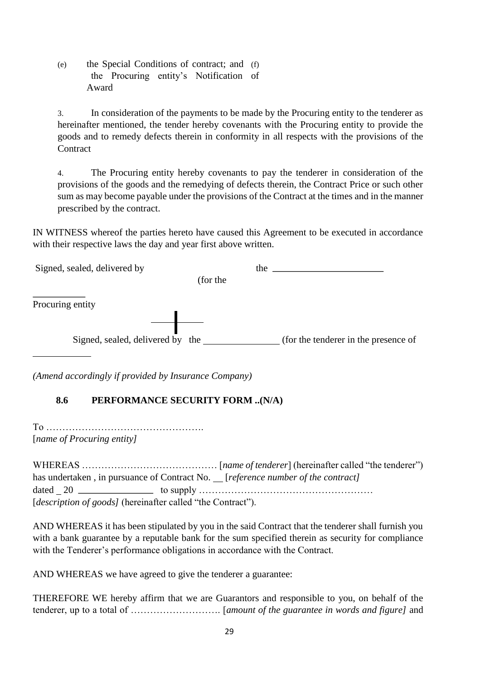(e) the Special Conditions of contract; and (f) the Procuring entity's Notification of Award

3. In consideration of the payments to be made by the Procuring entity to the tenderer as hereinafter mentioned, the tender hereby covenants with the Procuring entity to provide the goods and to remedy defects therein in conformity in all respects with the provisions of the **Contract** 

4. The Procuring entity hereby covenants to pay the tenderer in consideration of the provisions of the goods and the remedying of defects therein, the Contract Price or such other sum as may become payable under the provisions of the Contract at the times and in the manner prescribed by the contract.

IN WITNESS whereof the parties hereto have caused this Agreement to be executed in accordance with their respective laws the day and year first above written.

| Signed, sealed, delivered by     |          | the                                  |
|----------------------------------|----------|--------------------------------------|
|                                  | (for the |                                      |
| Procuring entity                 |          |                                      |
| Signed, sealed, delivered by the |          | (for the tenderer in the presence of |

*(Amend accordingly if provided by Insurance Company)* 

## **8.6 PERFORMANCE SECURITY FORM ..(N/A)**

To …………………………………………. [*name of Procuring entity]* 

WHEREAS …………………………………… [*name of tenderer*] (hereinafter called "the tenderer") has undertaken, in pursuance of Contract No. \_\_[*reference number of the contract]* dated 20  $\blacksquare$  to supply  $\ldots$   $\ldots$   $\ldots$   $\ldots$   $\ldots$   $\ldots$   $\ldots$ [*description of goods*] (hereinafter called "the Contract").

AND WHEREAS it has been stipulated by you in the said Contract that the tenderer shall furnish you with a bank guarantee by a reputable bank for the sum specified therein as security for compliance with the Tenderer's performance obligations in accordance with the Contract.

AND WHEREAS we have agreed to give the tenderer a guarantee:

THEREFORE WE hereby affirm that we are Guarantors and responsible to you, on behalf of the tenderer, up to a total of ………………………. [*amount of the guarantee in words and figure]* and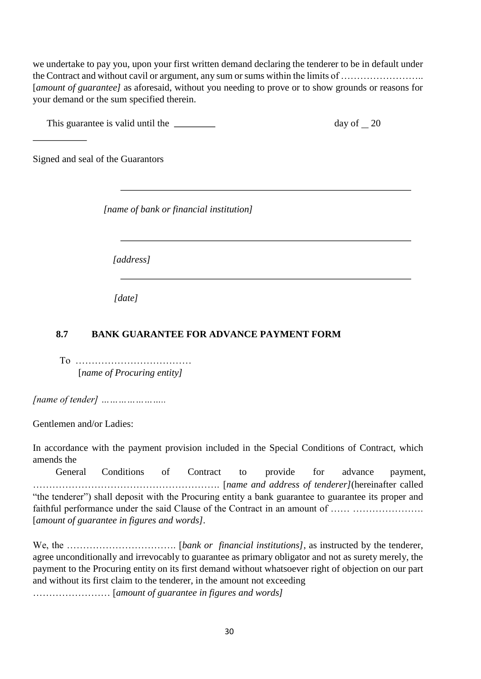we undertake to pay you, upon your first written demand declaring the tenderer to be in default under the Contract and without cavil or argument, any sum or sums within the limits of …………………….. [*amount of guarantee]* as aforesaid, without you needing to prove or to show grounds or reasons for your demand or the sum specified therein.

This guarantee is valid until the  $\frac{1}{20}$ 

Signed and seal of the Guarantors

*[name of bank or financial institution]* 

*[address]* 

*[date]* 

## **8.7 BANK GUARANTEE FOR ADVANCE PAYMENT FORM**

To ……………………………… [*name of Procuring entity]* 

*[name of tender] …………………..* 

Gentlemen and/or Ladies:

In accordance with the payment provision included in the Special Conditions of Contract, which amends the

General Conditions of Contract to provide for advance payment, …………………………………………………. [*name and address of tenderer]*(hereinafter called "the tenderer") shall deposit with the Procuring entity a bank guarantee to guarantee its proper and faithful performance under the said Clause of the Contract in an amount of …… …………………. [*amount of guarantee in figures and words].* 

We, the ……………………………. [*bank or financial institutions]*, as instructed by the tenderer, agree unconditionally and irrevocably to guarantee as primary obligator and not as surety merely, the payment to the Procuring entity on its first demand without whatsoever right of objection on our part and without its first claim to the tenderer, in the amount not exceeding …………………… [*amount of guarantee in figures and words]*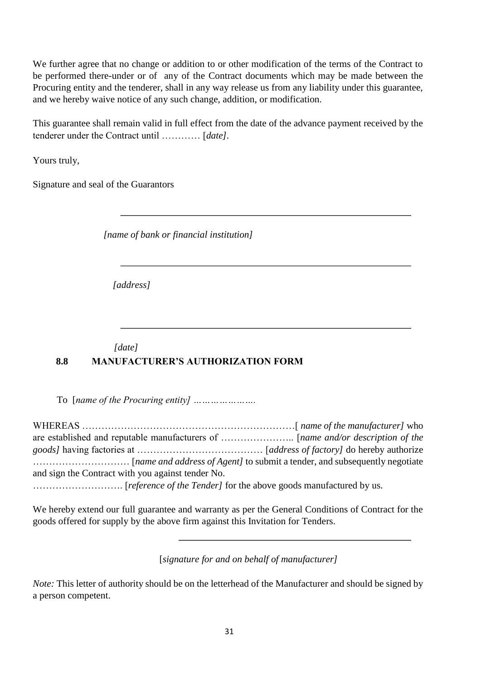We further agree that no change or addition to or other modification of the terms of the Contract to be performed there-under or of any of the Contract documents which may be made between the Procuring entity and the tenderer, shall in any way release us from any liability under this guarantee, and we hereby waive notice of any such change, addition, or modification.

This guarantee shall remain valid in full effect from the date of the advance payment received by the tenderer under the Contract until ………… [*date]*.

Yours truly,

Signature and seal of the Guarantors

*[name of bank or financial institution]* 

*[address]* 

## *[date]*  **8.8 MANUFACTURER'S AUTHORIZATION FORM**

To [*name of the Procuring entity] ………………….* 

WHEREAS …………………………………………………………[ *name of the manufacturer]* who are established and reputable manufacturers of ………………….. [*name and/or description of the goods]* having factories at ………………………………… [*address of factory]* do hereby authorize ………………………… [*name and address of Agent]* to submit a tender, and subsequently negotiate and sign the Contract with you against tender No. ………………………. [*reference of the Tender]* for the above goods manufactured by us.

We hereby extend our full guarantee and warranty as per the General Conditions of Contract for the goods offered for supply by the above firm against this Invitation for Tenders.

[*signature for and on behalf of manufacturer]* 

*Note:* This letter of authority should be on the letterhead of the Manufacturer and should be signed by a person competent.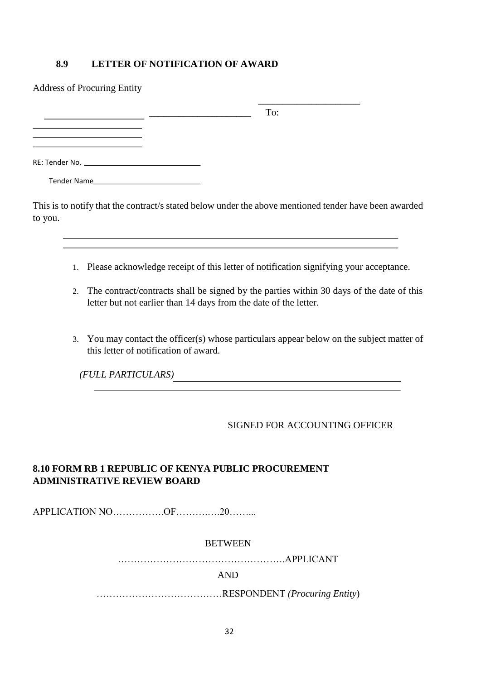#### **8.9 LETTER OF NOTIFICATION OF AWARD**

| <b>Address of Procuring Entity</b>                                                                  |                                                                                                       |  |
|-----------------------------------------------------------------------------------------------------|-------------------------------------------------------------------------------------------------------|--|
|                                                                                                     | To:                                                                                                   |  |
|                                                                                                     |                                                                                                       |  |
| RE: Tender No. 2008 and 2008 and 2008 and 2008 and 2008 and 2008 and 2008 and 2008 and 2008 and 200 |                                                                                                       |  |
|                                                                                                     |                                                                                                       |  |
|                                                                                                     | This is to notify that the contract's stated below under the above mentioned tender have been awarded |  |

to you.

- 1. Please acknowledge receipt of this letter of notification signifying your acceptance.
- 2. The contract/contracts shall be signed by the parties within 30 days of the date of this letter but not earlier than 14 days from the date of the letter.
- 3. You may contact the officer(s) whose particulars appear below on the subject matter of this letter of notification of award.

*(FULL PARTICULARS)* 

#### SIGNED FOR ACCOUNTING OFFICER

l,

## **8.10 FORM RB 1 REPUBLIC OF KENYA PUBLIC PROCUREMENT ADMINISTRATIVE REVIEW BOARD**

APPLICATION NO…………….OF……….….20……...

#### **BETWEEN**

…………………………………………….APPLICANT

AND

…………………………………RESPONDENT *(Procuring Entity*)